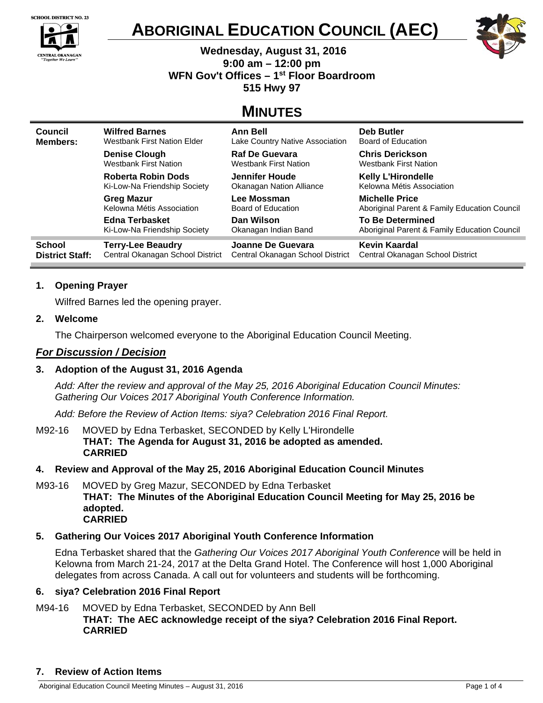

CENTRAL OKANAGAN<br>"Together We Learn"

 $\blacktriangle$ 





 **Wednesday, August 31, 2016 9:00 am – 12:00 pm WFN Gov't Offices – 1st Floor Boardroom 515 Hwy 97** 

# **MINUTES**

| <b>Council</b>         | <b>Wilfred Barnes</b>              | <b>Ann Bell</b>                  | <b>Deb Butler</b>                            |
|------------------------|------------------------------------|----------------------------------|----------------------------------------------|
| <b>Members:</b>        | <b>Westbank First Nation Elder</b> | Lake Country Native Association  | Board of Education                           |
|                        | <b>Denise Clough</b>               | <b>Raf De Guevara</b>            | <b>Chris Derickson</b>                       |
|                        | <b>Westbank First Nation</b>       | <b>Westbank First Nation</b>     | <b>Westbank First Nation</b>                 |
|                        | Roberta Robin Dods                 | Jennifer Houde                   | <b>Kelly L'Hirondelle</b>                    |
|                        | Ki-Low-Na Friendship Society       | <b>Okanagan Nation Alliance</b>  | Kelowna Métis Association                    |
|                        | <b>Greg Mazur</b>                  | Lee Mossman                      | <b>Michelle Price</b>                        |
|                        | Kelowna Métis Association          | Board of Education               | Aboriginal Parent & Family Education Council |
|                        | Edna Terbasket                     | Dan Wilson                       | <b>To Be Determined</b>                      |
|                        | Ki-Low-Na Friendship Society       | Okanagan Indian Band             | Aboriginal Parent & Family Education Council |
| <b>School</b>          | <b>Terry-Lee Beaudry</b>           | Joanne De Guevara                | Kevin Kaardal                                |
| <b>District Staff:</b> | Central Okanagan School District   | Central Okanagan School District | Central Okanagan School District             |

# **1. Opening Prayer**

Wilfred Barnes led the opening prayer.

## **2. Welcome**

The Chairperson welcomed everyone to the Aboriginal Education Council Meeting.

## *For Discussion / Decision*

# **3. Adoption of the August 31, 2016 Agenda**

*Add: After the review and approval of the May 25, 2016 Aboriginal Education Council Minutes: Gathering Our Voices 2017 Aboriginal Youth Conference Information.* 

*Add: Before the Review of Action Items: siya? Celebration 2016 Final Report.* 

M92-16MOVED by Edna Terbasket, SECONDED by Kelly L'Hirondelle **THAT: The Agenda for August 31, 2016 be adopted as amended. CARRIED** 

## **4. Review and Approval of the May 25, 2016 Aboriginal Education Council Minutes**

M93-16MOVED by Greg Mazur, SECONDED by Edna Terbasket **THAT: The Minutes of the Aboriginal Education Council Meeting for May 25, 2016 be adopted. CARRIED** 

## **5. Gathering Our Voices 2017 Aboriginal Youth Conference Information**

Edna Terbasket shared that the *Gathering Our Voices 2017 Aboriginal Youth Conference* will be held in Kelowna from March 21-24, 2017 at the Delta Grand Hotel. The Conference will host 1,000 Aboriginal delegates from across Canada. A call out for volunteers and students will be forthcoming.

## **6. siya? Celebration 2016 Final Report**

## M94-16MOVED by Edna Terbasket, SECONDED by Ann Bell **THAT: The AEC acknowledge receipt of the siya? Celebration 2016 Final Report. CARRIED**

## **7. Review of Action Items**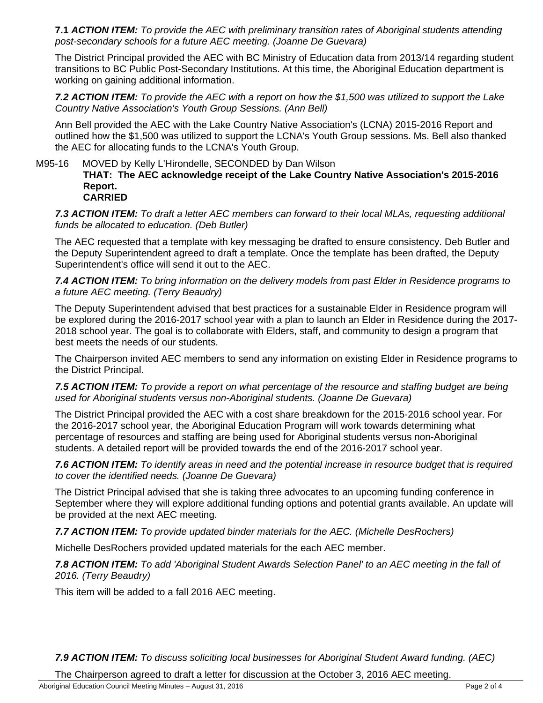**7.1** *ACTION ITEM: To provide the AEC with preliminary transition rates of Aboriginal students attending post-secondary schools for a future AEC meeting. (Joanne De Guevara)*

The District Principal provided the AEC with BC Ministry of Education data from 2013/14 regarding student transitions to BC Public Post-Secondary Institutions. At this time, the Aboriginal Education department is working on gaining additional information.

*7.2 ACTION ITEM: To provide the AEC with a report on how the \$1,500 was utilized to support the Lake Country Native Association's Youth Group Sessions. (Ann Bell)* 

Ann Bell provided the AEC with the Lake Country Native Association's (LCNA) 2015-2016 Report and outlined how the \$1,500 was utilized to support the LCNA's Youth Group sessions. Ms. Bell also thanked the AEC for allocating funds to the LCNA's Youth Group.

#### M95-16MOVED by Kelly L'Hirondelle, SECONDED by Dan Wilson **THAT: The AEC acknowledge receipt of the Lake Country Native Association's 2015-2016 Report. CARRIED**

*7.3 ACTION ITEM: To draft a letter AEC members can forward to their local MLAs, requesting additional funds be allocated to education. (Deb Butler)* 

The AEC requested that a template with key messaging be drafted to ensure consistency. Deb Butler and the Deputy Superintendent agreed to draft a template. Once the template has been drafted, the Deputy Superintendent's office will send it out to the AEC.

*7.4 ACTION ITEM: To bring information on the delivery models from past Elder in Residence programs to a future AEC meeting. (Terry Beaudry)* 

The Deputy Superintendent advised that best practices for a sustainable Elder in Residence program will be explored during the 2016-2017 school year with a plan to launch an Elder in Residence during the 2017- 2018 school year. The goal is to collaborate with Elders, staff, and community to design a program that best meets the needs of our students.

The Chairperson invited AEC members to send any information on existing Elder in Residence programs to the District Principal.

*7.5 ACTION ITEM: To provide a report on what percentage of the resource and staffing budget are being used for Aboriginal students versus non-Aboriginal students. (Joanne De Guevara)* 

The District Principal provided the AEC with a cost share breakdown for the 2015-2016 school year. For the 2016-2017 school year, the Aboriginal Education Program will work towards determining what percentage of resources and staffing are being used for Aboriginal students versus non-Aboriginal students. A detailed report will be provided towards the end of the 2016-2017 school year.

*7.6 ACTION ITEM: To identify areas in need and the potential increase in resource budget that is required to cover the identified needs. (Joanne De Guevara)* 

The District Principal advised that she is taking three advocates to an upcoming funding conference in September where they will explore additional funding options and potential grants available. An update will be provided at the next AEC meeting.

*7.7 ACTION ITEM: To provide updated binder materials for the AEC. (Michelle DesRochers)* 

Michelle DesRochers provided updated materials for the each AEC member.

*7.8 ACTION ITEM: To add 'Aboriginal Student Awards Selection Panel' to an AEC meeting in the fall of 2016. (Terry Beaudry)* 

This item will be added to a fall 2016 AEC meeting.

*7.9 ACTION ITEM: To discuss soliciting local businesses for Aboriginal Student Award funding. (AEC)* 

The Chairperson agreed to draft a letter for discussion at the October 3, 2016 AEC meeting.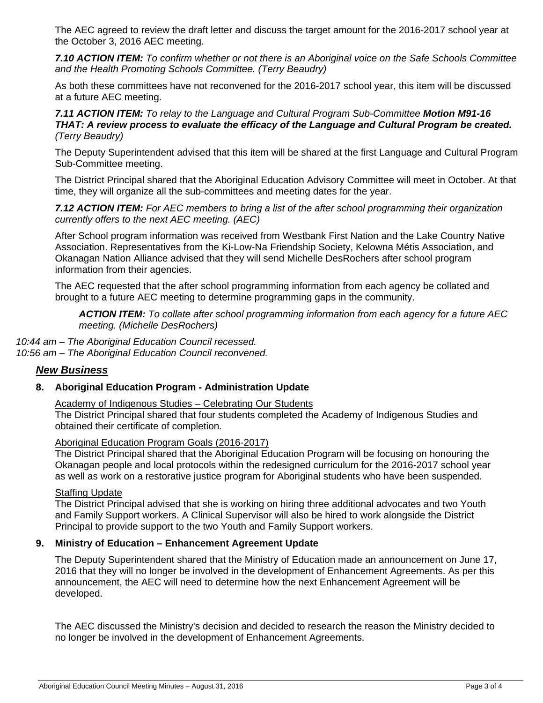The AEC agreed to review the draft letter and discuss the target amount for the 2016-2017 school year at the October 3, 2016 AEC meeting.

*7.10 ACTION ITEM: To confirm whether or not there is an Aboriginal voice on the Safe Schools Committee and the Health Promoting Schools Committee. (Terry Beaudry)* 

As both these committees have not reconvened for the 2016-2017 school year, this item will be discussed at a future AEC meeting.

#### *7.11 ACTION ITEM: To relay to the Language and Cultural Program Sub-Committee Motion M91-16 THAT: A review process to evaluate the efficacy of the Language and Cultural Program be created. (Terry Beaudry)*

The Deputy Superintendent advised that this item will be shared at the first Language and Cultural Program Sub-Committee meeting.

The District Principal shared that the Aboriginal Education Advisory Committee will meet in October. At that time, they will organize all the sub-committees and meeting dates for the year.

*7.12 ACTION ITEM: For AEC members to bring a list of the after school programming their organization currently offers to the next AEC meeting. (AEC)* 

After School program information was received from Westbank First Nation and the Lake Country Native Association. Representatives from the Ki-Low-Na Friendship Society, Kelowna Métis Association, and Okanagan Nation Alliance advised that they will send Michelle DesRochers after school program information from their agencies.

The AEC requested that the after school programming information from each agency be collated and brought to a future AEC meeting to determine programming gaps in the community.

*ACTION ITEM: To collate after school programming information from each agency for a future AEC meeting. (Michelle DesRochers)* 

*10:44 am – The Aboriginal Education Council recessed. 10:56 am – The Aboriginal Education Council reconvened.*

# *New Business*

## **8. Aboriginal Education Program - Administration Update**

## Academy of Indigenous Studies – Celebrating Our Students

The District Principal shared that four students completed the Academy of Indigenous Studies and obtained their certificate of completion.

## Aboriginal Education Program Goals (2016-2017)

The District Principal shared that the Aboriginal Education Program will be focusing on honouring the Okanagan people and local protocols within the redesigned curriculum for the 2016-2017 school year as well as work on a restorative justice program for Aboriginal students who have been suspended.

#### **Staffing Update**

The District Principal advised that she is working on hiring three additional advocates and two Youth and Family Support workers. A Clinical Supervisor will also be hired to work alongside the District Principal to provide support to the two Youth and Family Support workers.

## **9. Ministry of Education – Enhancement Agreement Update**

The Deputy Superintendent shared that the Ministry of Education made an announcement on June 17, 2016 that they will no longer be involved in the development of Enhancement Agreements. As per this announcement, the AEC will need to determine how the next Enhancement Agreement will be developed.

The AEC discussed the Ministry's decision and decided to research the reason the Ministry decided to no longer be involved in the development of Enhancement Agreements.